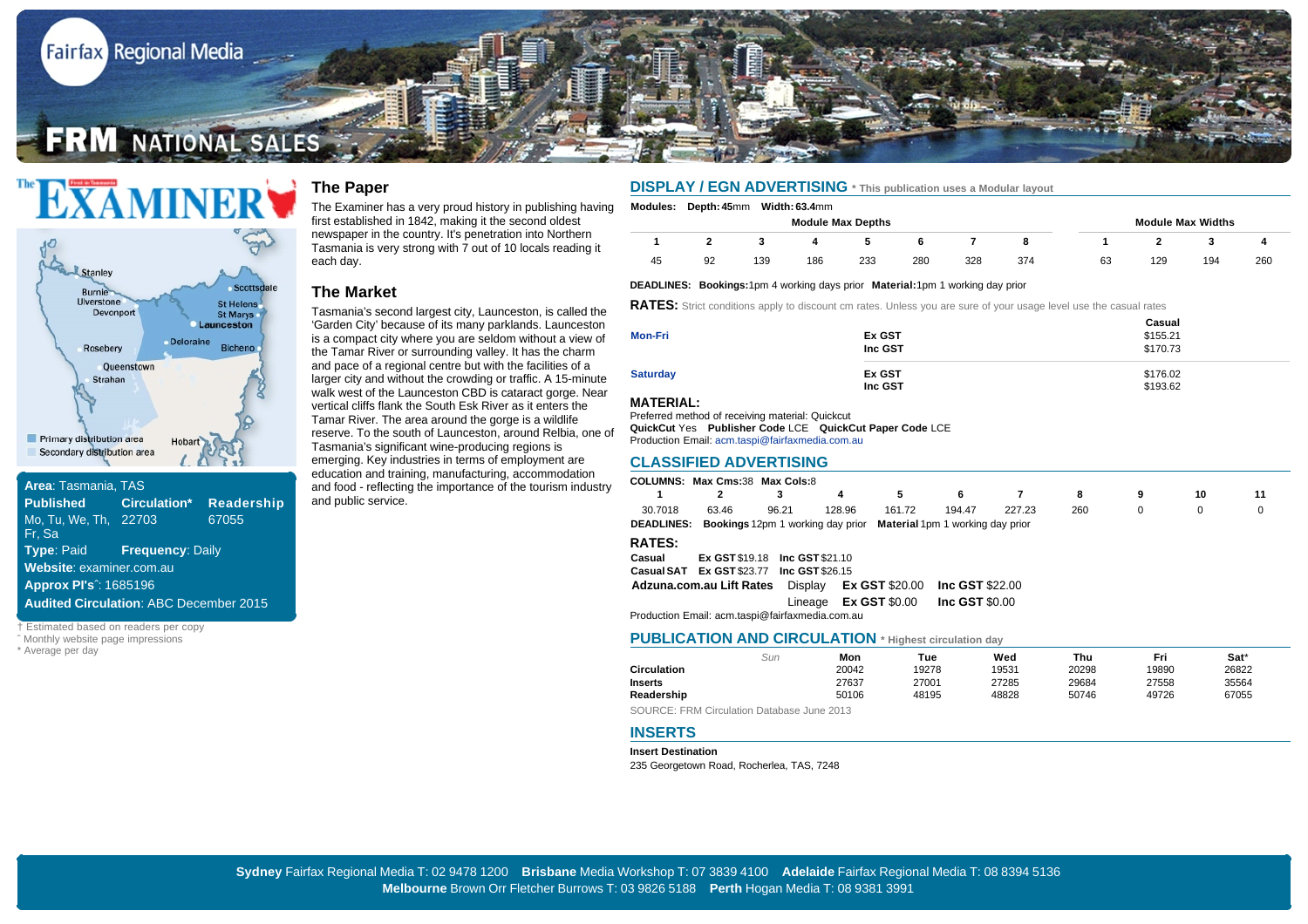



| Area: Tasmania, TAS                           |                                    |       |  |  |  |  |  |  |
|-----------------------------------------------|------------------------------------|-------|--|--|--|--|--|--|
| <b>Published Circulation* Readership*</b>     |                                    |       |  |  |  |  |  |  |
| Mo, Tu, We, Th, 22703                         |                                    | 67055 |  |  |  |  |  |  |
| Fr. Sa                                        |                                    |       |  |  |  |  |  |  |
|                                               | <b>Type: Paid Frequency: Daily</b> |       |  |  |  |  |  |  |
| Website: examiner.com.au                      |                                    |       |  |  |  |  |  |  |
| <b>Approx Pl's</b> <sup>2</sup> : 1685196     |                                    |       |  |  |  |  |  |  |
| <b>Audited Circulation: ABC December 2015</b> |                                    |       |  |  |  |  |  |  |
|                                               |                                    |       |  |  |  |  |  |  |

† Estimated based on readers per copy

ˆ Monthly website page impressions

\* Average per day

# **The Paper**

The Examiner has a very proud history in publishing having first established in 1842, making it the second oldest newspaper in the country. It's penetration into Northern Tasmania is very strong with 7 out of 10 locals reading it each day.

### **The Market**

Tasmania's second largest city, Launceston, is called the 'Garden City' because of its many parklands. Launceston is a compact city where you are seldom without a view of the Tamar River or surrounding valley. It has the charm and pace of a regional centre but with the facilities of a larger city and without the crowding or traffic. A 15-minute walk west of the Launceston CBD is cataract gorge. Near vertical cliffs flank the South Esk River as it enters the Tamar River. The area around the gorge is a wildlife reserve. To the south of Launceston, around Relbia, one of Tasmania's significant wine-producing regions is emerging. Key industries in terms of employment are education and training, manufacturing, accommodation and food - reflecting the importance of the tourism industry and public service.

## **DISPLAY / EGN ADVERTISING \* This publication uses a Modular layout**

**Modules: Depth: 45**mm **Width: 63.4**mm

| <b>Module Max Depths</b> |    |     |     |     |     |     |     |    |     | <b>Module Max Widths</b> |     |
|--------------------------|----|-----|-----|-----|-----|-----|-----|----|-----|--------------------------|-----|
|                          |    |     |     |     |     |     |     |    |     |                          |     |
| 45                       | 92 | 139 | 186 | 233 | 280 | 328 | 374 | 63 | 129 | 194                      | 260 |

#### **DEADLINES: Bookings:** 1pm 4 working days prior **Material:** 1pm 1 working day prior

**RATES:** Strict conditions apply to discount cm rates. Unless you are sure of your usage level use the casual rates

|                 |         | Casual   |
|-----------------|---------|----------|
| Mon-Fri         | Ex GST  | \$155.21 |
|                 | Inc GST | \$170.73 |
| <b>Saturday</b> | Ex GST  | \$176.02 |
|                 | Inc GST | \$193.62 |

### **MATERIAL:**

Preferred method of receiving material: Quickcut

Production Email: acm.taspi@fairfaxmedia.com.au **QuickCut** Yes **Publisher Code** LCE **QuickCut Paper Code** LCE

#### **CLASSIFIED ADVERTISING**

|                                                              | <b>COLUMNS: Max Cms:38 Max Cols:8</b>                                                |                        |        |                                   |                        |        |     |          |    |    |  |  |
|--------------------------------------------------------------|--------------------------------------------------------------------------------------|------------------------|--------|-----------------------------------|------------------------|--------|-----|----------|----|----|--|--|
|                                                              | 2                                                                                    | 3                      | 4      | 5                                 | 6                      |        | 8   | 9        | 10 | 11 |  |  |
| 30.7018                                                      | 63.46                                                                                | 96.21                  | 128.96 | 161.72                            | 194.47                 | 227.23 | 260 | $\Omega$ | 0  | 0  |  |  |
|                                                              | <b>DEADLINES:</b> Bookings 12pm 1 working day prior Material 1pm 1 working day prior |                        |        |                                   |                        |        |     |          |    |    |  |  |
| <b>RATES:</b>                                                |                                                                                      |                        |        |                                   |                        |        |     |          |    |    |  |  |
| Casual                                                       | <b>Ex GST \$19.18</b>                                                                | <b>Inc GST \$21.10</b> |        |                                   |                        |        |     |          |    |    |  |  |
|                                                              | Casual SAT Ex GST \$23.77                                                            | Inc GST \$26.15        |        |                                   |                        |        |     |          |    |    |  |  |
|                                                              | Adzuna.com.au Lift Rates                                                             |                        |        | Display <b>Ex GST</b> \$20.00     | <b>Inc GST \$22.00</b> |        |     |          |    |    |  |  |
|                                                              |                                                                                      | Lineage                |        | <b>Ex GST <math>\$0.00</math></b> | Inc GST $$0.00$        |        |     |          |    |    |  |  |
| Production Email: acm.taspi@fairfaxmedia.com.au              |                                                                                      |                        |        |                                   |                        |        |     |          |    |    |  |  |
| <b>PUBLICATION AND CIRCULATION</b> * Highest circulation day |                                                                                      |                        |        |                                   |                        |        |     |          |    |    |  |  |

|                    |     |       | -     |       |       |       |       |
|--------------------|-----|-------|-------|-------|-------|-------|-------|
|                    | Sun | Mon   | Tue   | Wed   | Thu   | Fri   | Sat*  |
| <b>Circulation</b> |     | 20042 | 19278 | 19531 | 20298 | 19890 | 26822 |
| <b>Inserts</b>     |     | 27637 | 27001 | 27285 | 29684 | 27558 | 35564 |
| Readership         |     | 50106 | 48195 | 48828 | 50746 | 49726 | 67055 |
|                    |     |       |       |       |       |       |       |

SOURCE: FRM Circulation Database June 2013

### **INSERTS**

**Insert Destination**

235 Georgetown Road, Rocherlea, TAS, 7248